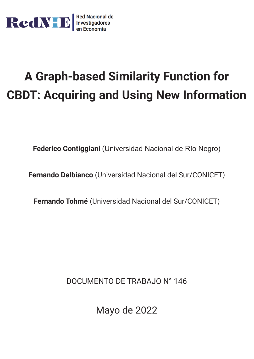

# **A Graph-based Similarity Function for CBDT: Acquiring and Using New Information**

**Federico Contiggiani** (Universidad Nacional de Río Negro)

**Fernando Delbianco** (Universidad Nacional del Sur/CONICET)

**Fernando Tohmé** (Universidad Nacional del Sur/CONICET)

DOCUMENTO DE TRABAJO N° 146

Mayo de 2022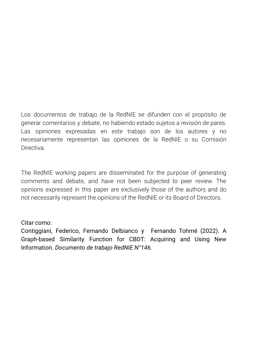Los documentos de trabajo de la RedNIE se difunden con el propósito de generar comentarios y debate, no habiendo estado sujetos a revisión de pares. Las opiniones expresadas en este trabajo son de los autores y no necesariamente representan las opiniones de la RedNIE o su Comisión **Directiva** 

The RedNIE working papers are disseminated for the purpose of generating comments and debate, and have not been subjected to peer review. The opinions expressed in this paper are exclusively those of the authors and do not necessarily represent the opinions of the RedNIE or its Board of Directors.

## Citar como:

Contiggiani, Federico, Fernando Delbianco y Fernando Tohmé (2022). A Graph-based Similarity Function for CBDT: Acquiring and Using New Information. *Documento de trabajo RedNIE N°146.*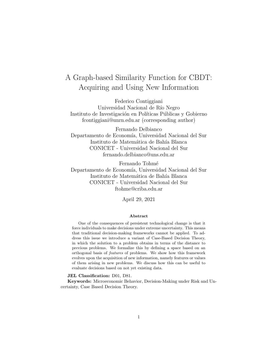## A Graph-based Similarity Function for CBDT: Acquiring and Using New Information

Federico Contiggiani Universidad Nacional de Río Negro Instituto de Investigación en Políticas Públicas y Gobierno fcontiggiani@unrn.edu.ar (corresponding author)

Fernando Delbianco Departamento de Economía, Universidad Nacional del Sur Instituto de Matemática de Bahía Blanca CONICET - Universidad Nacional del Sur fernando.delbianco@uns.edu.ar

Fernando Tohmé Departamento de Economía, Universidad Nacional del Sur Instituto de Matemática de Bahía Blanca CONICET - Universidad Nacional del Sur ftohme@criba.edu.ar

April 29, 2021

#### Abstract

One of the consequences of persistent technological change is that it force individuals to make decisions under extreme uncertainty. This means that traditional decision-making frameworks cannot be applied. To address this issue we introduce a variant of Case-Based Decision Theory, in which the solution to a problem obtains in terms of the distance to previous problems. We formalize this by defining a space based on an orthogonal basis of features of problems. We show how this framework evolves upon the acquisition of new information, namely features or values of them arising in new problems. We discuss how this can be useful to evaluate decisions based on not yet existing data.

JEL Classification: D01, D81.

Keywords: Microeconomic Behavior, Decision-Making under Risk and Uncertainty, Case Based Decision Theory.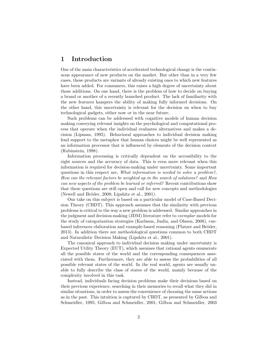#### 1 Introduction

One of the main characteristics of accelerated technological change is the continuous appearance of new products on the market. But other than in a very few cases, these products are variants of already existing ones to which new features have been added. For consumers, this raises a high degree of uncertainty about those additions. On one hand, there is the problem of how to decide on buying a brand or another of a recently launched product. The lack of familiarity with the new features hampers the ability of making fully informed decisions. On the other hand, this uncertainty is relevant for the decision on when to buy technological gadgets, either now or in the near future.

Such problems can be addressed with cognitive models of human decision making conveying relevant insights on the psychological and computational process that operate when the individual evaluates alternatives and makes a decision (Lipman, 1995). Behavioral approaches to individual decision making lend support to the metaphor that human choices might be well represented as an information processor that is influenced by elements of the decision context (Rubinstein, 1998).

Information processing is critically dependent on the accessibility to the right sources and the accuracy of data. This is even more relevant when this information is required for decision-making under uncertainty. Some important questions in this respect are, What information is needed to solve a problem?, How can the relevant factors be weighted up in the search of solutions? and How can new aspects of the problem be learned or inferred? Recent contributions show that these questions are still open and call for new concepts and methodologies (Newell and Bröder, 2008; Lipshitz et al., 2001).

Our take on this subject is based on a particular model of Case-Based Decision Theory (CBDT). This approach assumes that the similarity with previous problems is critical to the way a new problem is addressed. Similar approaches in the judgment and decision-making (JDM) literature refer to exemplar models for the study of categorization strategies (Karlsson, Juslin, and Olsson, 2008), cuebased inferences elaboration and example-based reasoning (Platzer and Bröder, 2013). In addition there are methodological questions common to both CBDT and Naturalistic Decision Making (Lipshitz et al., 2001).

The canonical approach to individual decision making under uncertainty is Expected Utility Theory (EUT), which assumes that rational agents enumerate all the possible states of the world and the corresponding consequences associated with them. Furthermore, they are able to assess the probabilities of all possible relevant states of the world. In the real world, agents are usually unable to fully describe the class of states of the world, mainly because of the complexity involved in this task.

Instead, individuals facing decision problems make their decisions based on their previous experience, searching in their memories to recall what they did in similar situations, in order to assess the convenience of choosing the same actions as in the past. This intuition is captured by CBDT, as presented by Gilboa and Schmeidler, 1995; Gilboa and Schmeidler, 2001; Gilboa and Schmeidler, 2003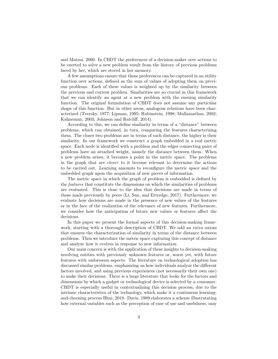and Matsui, 2000. In CBDT the preferences of a decision-maker over actions to be exerted to solve a new problem result from the history of previous problems faced by her, which are stored in her memory.

A few assumptions ensure that those preferences can be captured in an utility function over actions, defined as the sum of values of adopting them on previous problems. Each of these values is weighted up by the similarity between the previous and current problem. Similarities are so crucial in this framework that we can identify an agent at a new problem with the ensuing similarity function. The original formulation of CBDT does not assume any particular shape of this function. But in other areas, analogous relations have been characterized (Tversky, 1977; Lipman, 1995; Rubinstein, 1998; Mullainathan, 2002; Kahneman, 2003; Johnson and Ratcliff, 2014).

According to this, we can define similarity in terms of a "distance" between problems, which can obtained, in turn, comparing the features characterizing them. The closer two problems are in terms of such distance, the higher is their similarity. In our framework we construct a graph embedded in a real metric space. Each node is identified with a problem and the edges connecting pairs of problems have an attached weight, namely the distance between them. When a new problem arises, it becomes a point in the metric space. The problems in the graph that are closer to it become relevant to determine the actions to be carried out. Learning amounts to reconfigure the metric space and the embedded graph upon the acquisition of new pieces of information.

The metric space in which the graph of problem is embedded is defined by the features that constitute the dimensions on which the similarities of problems are evaluated. This is close to the idea that decisions are made in terms of those made previously by peers (Li, Sun, and Ettredge, 2017). Furthermore, we evaluate how decisions are made in the presence of new values of the features or in the face of the realization of the relevance of new features. Furthermore, we consider how the anticipation of future new values or features affect the decisions.

In this paper we present the formal aspects of this decision-making framework, starting with a thorough description of CBDT. We add an extra axiom that ensures the characterization of similarity in terms of the distance between problems. Then we introduce the metric space capturing this concept of distance and analyze how it evolves in response to new information.

Our main concern is with the application of these insights to decision-making involving entities with previously unknown features or, worst yet, with future features with unforeseen aspects. The literature on technological adoption has discussed similar problems, emphasizing on how individuals analyze the different factors involved, and using previous experiences (not necessarily their own one) to make their decisions. There is a large literature that looks for the factors and dimensions by which a gadget or technological device is selected by a consumer. CBDT is especially useful in contextualizing this decision process, due to the intrinsic characteristics of the technology, which make it a continuous learningand-choosing process Bhui, 2018. Davis, 1989 elaborates a scheme illustratating how external variables such as the perception of ease of use and usefulness, may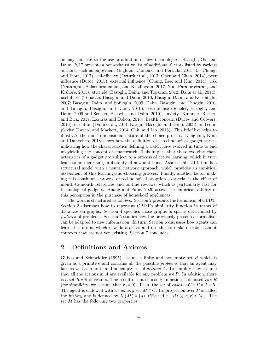or may not lead to the use or adoption of new technologies. Basoglu, Ok, and Daim, 2017 presents a non-exhaustive list of additional factors listed by various authors, such as enjoyment (Ingham, Cadieux, and Berrada, 2015, Li, Chung, and Fiore, 2017), self-efficacy (Ozturk et al., 2017, Chen and Chan, 2014), peer influence (Dutot, 2015), external influence (Chung, Lee, and Kim, 2014), risk (Natarajan, Balasubramanian, and Kasilingam, 2017, Yoo, Parameswaran, and Kishore, 2015), attitude (Basoglu, Daim, and Topacan, 2012, Daim et al., 2014), usefulness (Topacan, Basoglu, and Daim, 2010, Basoglu, Daim, and Kerimoglu, 2007; Basoglu, Daim, and Sofuoglu, 2009, Daim, Basoglu, and Tanoglu, 2010, and Tanoglu, Basoglu, and Daim, 2010), ease of use (Seneler, Basoglu, and Daim, 2009 and Seneler, Basoglu, and Daim, 2010), anxiety (Kummer, Recker, and Bick, 2017, Lazuras and Dokou, 2016), health concern (Ducey and Coovert, 2016), intention (Daim et al., 2014, Kargin, Basoglu, and Daim, 2009), and complexity (Lazard and Mackert, 2014; Chin and Lin, 2015). This brief list helps to illustrate the multi-dimensional nature of the choice process. Dehghani, Kim, and Dangelico, 2018 shows how the definition of a technological gadget varies, indicating how the characteristics defining a watch have evolved in time to end up yielding the concept of smartwatch. This implies that these evolving characteristics of a gadget are subject to a process of active learning, which in turn leads to an increasing probability of new additions. Asadi et al., 2019 builds a structural model with a neural network approach, which provides an empirical assessment of this learning-and-choosing process. Finally, another factor making this continuous process of technological adoption so special is the effect of mouth-to-mouth references and on-line reviews, which is particularly fast for technological gadgets. Huang and Pape, 2020 assess the empirical validity of this perception in the purchase of household appliances.

The work is structured as follows. Section 2 presents the formalism of CBDT. Section 3 discusses how to represent CBDT's similarity function in terms of distances on graphs. Section 4 specifies those graphs in spaces determined by features of problems. Section 5 studies how the previously presented formalism can be adapted to new information. In turn, Section 6 discusses how agents can learn the rate at which new data arises and use this to make decisions about contexts that are not yet existing. Section 7 concludes.

## 2 Definitions and Axioms

Gilboa and Schmeidler (1995) assume a finite and nonempty set  $P$  which is given as a primitive and contains all the possible problems that an agent may face as well as a finite and nonempty set of actions A. To simplify they assume that all the actions in A are available for any problem  $p \in P$ . In addition, there is a set  $R = \mathbb{R}$  of results. The result of not choosing an action is denoted  $r_0 \in R$ (for simplicity, we assume that  $r_0 = 0$ ). Then, the set of cases is  $C \equiv P \times A \times R$ . The agent is endowed with a *memory* set  $M \subseteq C$ . Its projection over P is called the history and is defined by  $H(M) = \{q \in P | \exists a \in A, r \in R : (q, a, r) \in M \}$ . The set  $M$  has the following two properties: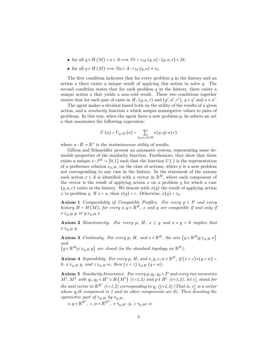- for all  $q \in H(M) \wedge a \in A \Longrightarrow \exists! r = r_M(q, a) : (q, a, r) \in M;$
- for all  $q \in H(M) \Longrightarrow \exists! a \in A : r_M(q, a) \neq r_0$ .

The first condition indicates that for every problem  $q$  in the history and an action a there exists a unique result of applying this action to solve  $q$ . The second condition states that for each problem  $q$  in the history, there exists a unique action  $\alpha$  that yields a non-void result. These two conditions together ensure that for each pair of cases in H,  $(q, a, r)$  and  $(q', a', r')$ ,  $q \neq q'$  and  $a \neq a'$ .<br>The graph makes a design hazed hoth on the utility of the possible of a given

The agent makes a decision based both on the utility of the results of a given action, and a similarity function s which assigns nonnegative values to pairs of problems. In this way, when the agent faces a new problem  $p$ , he selects an act a that maximizes the following expression:

$$
U\left(a\right) = U_{p,M}\left(a\right) = \sum_{\left(q,a,r\right)\in M}s\left(p,q\right)u\left(r\right)
$$

where  $u : R \to \mathbb{R}^+$  is the *instantaneous utility* of results.

Gilboa and Schmeidler present an axiomatic system, representing some desirable properties of the similarity function. Furthemore, they show that there exists a unique  $s: P^2 \to [0,1]$  such that the function  $U(\cdot)$  is the representation of a preference relation  $\geq_{p,H}$ , on the class of actions, where p is a new problem not corresponding to any case in the history. In the statement of the axioms each action  $x \in A$  is identified with a vector in  $\mathbb{R}^H$ , where each component of the vector is the result of applying action x on a problem  $q$  for which a case  $(q, a, r)$  exists in the history. We denote with  $x(q)$  the result of applying action x to problem q. If  $x = a$ , then  $x(q) = r$ . Otherwise,  $x(q) = r_0$ .

**Axiom 1** Comparability of Compatible Profiles. For every  $p \in P$  and every history  $H = H(M)$ , for every  $x, y \in \mathbb{R}^H$ , x and y are compatible if and only if  $x \geq_{p,H} y$  or  $y \geq_{p,H} x$ .

Axiom 2 Monotonicity. For every p, H,  $x \geq y$  and  $x \cdot y = 0$  implies that  $x \geq_{p,H} y$ .

**Axiom 3** Continuity. For every p, H, and  $x \in \mathbb{R}^H$ , the sets  $\{y \in \mathbb{R}^H | y \geq_{p,H} x\}$ and

 $\{y \in \mathbb{R}^H | x \geq_{p,H} y\}$  are closed (in the standard topology on  $\mathbb{R}^H$ ).

Axiom 4 Separability. For every p, H, and  $x, y, z, w \in \mathbb{R}^H$ , if  $(x + z)*(y + w) = 0$ 0,  $x \ge_{p,H} y$ , and  $z \ge_{p,H} w$ , then  $(x + z) \ge_{p,H} (y + w)$ .

Axiom 5 Similarity Invariance. For every  $p, q_1, q_2 \in P$  and every two memories  $M^1, M^2$  with  $q_1, q_2 \in H^i \equiv H(M^i)$  (i=1,2) and  $p \notin H^i$  (i=1,2), let  $v_j^i$  stand for the unit vector in  $\mathbb{R}^{H^i}$  (i=1,2) corresponding to  $q_j$  (j=1,2) (That is,  $v_j^i$  is a vector whose  $q_i$ th component is 1 and its other components are 0). Then denoting the symmetric part of  $\geq_{p,H}$  by  $\approx_{p,H}$ ,

 $x, y \in \mathbb{R}^{H^1}, z, w \in \mathbb{R}^{H^2}, x \approx_{p,H^1} y, z \approx_{p,H^2} w$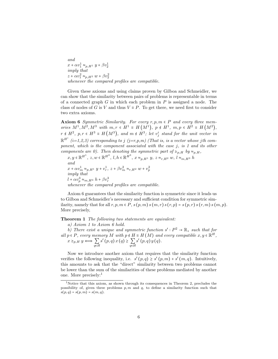and  $x + \alpha v_1^1 \approx_{p,H^1} y + \beta v_2^1$ imply that  $z + \alpha v_1^2 \approx_{p,H^2} w + \beta v_2^2$ whenever the compared profiles are compatible.

Given these axioms and using claims proven by Gilboa and Schmeidler, we can show that the similarity between pairs of problems is representable in terms of a connected graph  $G$  in which each problem in  $P$  is assigned a node. The class of nodes of G is V and thus  $V \equiv P$ . To get there, we need first to consider two extra axioms.

Axiom 6 Symmetric Similarity. For every  $r, p, m \in P$  and every three memories  $M^1, M^2, M^3$  with  $m, r \in H^1 \equiv H(M^1), p \notin H^1, m, p \in H^2 \equiv H(M^2),$  $r \notin H^2$ ,  $p, r \in H^3 \equiv H(M^3)$ , and  $m \notin H^3$ ; let  $v_j^i$  stand for the unit vector in  $\mathbb{R}^{H^{i}}$  (i=1,2,3) corresponding to j (j=r,p,m) (That is, is a vector whose jth component, which is the component associated with the case  $j$ , is 1 and its other components are 0). Then denoting the symmetric part of  $\geq_{p,H}$  by  $\approx_{p,H}$ ,

 $x, y \in \mathbb{R}^{H^1}, z, w \in \mathbb{R}^{H^2}, l, h \in \mathbb{R}^{H^3}, x \approx_{p,H^1} y, z \approx_{r,H^2} w, l \approx_{m,H^3} h$ and  $x + \alpha v_m^1 \approx_{p,H^1} y + v_r^1, \ z + \beta v_m^2 \approx_{r,H^2} w + v_p^2$ imply that  $l + \alpha v_p^3 \approx_{m,H^3} h + \beta v_r^3$ whenever the compared profiles are compatible.

Axiom 6 guarantees that the similarity function is symmetric since it leads us to Gilboa and Schmeidler's necessary and sufficient condition for symmetric similarity, namely that for all  $r, p, m \in P$ ,  $s(p, m)$   $s(m, r)$   $s(r, p) = s(p, r)$   $s(r, m)$   $s(m, p)$ . More precisely,

Theorem 1 The following two statements are equivalent:

a) Axiom 1 to Axiom 6 hold.

b) There exist a unique and symmetric function  $s': P^2 \to \mathbb{R}_+$  such that for all  $p \in P$ , every memory M with  $p \notin H \equiv H(M)$  and every compatible  $x, y \in \mathbb{R}^H$ ,  $x \geq_{p,H} y \Longleftrightarrow \sum_{q \in H}$  $s'(p,q)x(q) \geq \sum_{q \in H}$  $s'(p,q) y(q).$ 

Now we introduce another axiom that requires that the similarity function verifies the following inequality, i.e.  $s'(p,q) \geq s'(p,m) + s'(m,q)$ . Intuitively, this amounts to ask that the "direct" similarity between two problems cannot be lower than the sum of the similarities of these problems mediated by another one. More precisely:<sup>1</sup>

<sup>1</sup>Notice that this axiom, as shown through its consequences in Theorem 2, precludes the possibility of, given three problems  $p, m$  and  $q$ , to define a similarity function such that  $s(p, q) = s(p, m) = s(m, q).$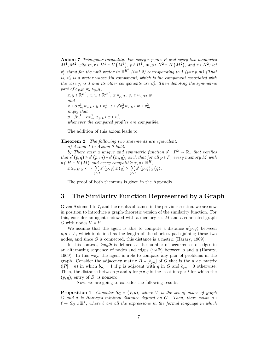**Axiom 7** Triangular inequality. For every  $r, p, m \in P$  and every two memories  $M^1, M^2$  with  $m, r \in H^1 \equiv H(M^1), p \notin H^1, m, p \in H^2 \equiv H(M^2)$ , and  $r \notin H^2$ ; let  $v_j^i$  stand for the unit vector in  $\mathbb{R}^{H^i}$  (i=1,2) corresponding to j (j=r,p,m) (That is,  $v_j^i$  is a vector whose jth component, which is the component associated with the case  $j$ , is 1 and its other components are  $0$ ). Then denoting the symmetric part of  $\geq_{p,H}$  by  $\approx_{p,H}$ ,

 $x, y \in \mathbb{R}^{H^1}, z, w \in \mathbb{R}^{H^2}, x \approx_{p,H^1} y, z \approx_{r,H^2} w$ and  $x + \alpha v_m^1 \approx_{p,H^1} y + v_r^1, \ z + \beta v_p^2 \approx_{r,H^2} w + v_m^2$ imply that  $y + \beta v_r^1 + \alpha v_m^1 \leq_{p,H} x + v_m^1$ whenever the compared profiles are compatible.

The addition of this axiom leads to:

**Theorem 2** The following two statements are equivalent:

a) Axiom 1 to Axiom 7 hold.

b) There exist a unique and symmetric function  $s': P^2 \to \mathbb{R}_+$  that verifies that  $s'(p,q) \geq s'(p,m) + s'(m,q)$ , such that for all  $p \in P$ , every memory M with  $p \notin H \equiv H(M)$  and every compatible  $x, y \in \mathbb{R}^H$ ,

$$
x \geq_{p,H} y \Longleftrightarrow \sum_{q \in H} s'(p,q) x(q) \geq \sum_{q \in H} s'(p,q) y(q).
$$

The proof of both theorems is given in the Appendix.

## 3 The Similarity Function Represented by a Graph

Given Axioms 1 to 7, and the results obtained in the previous section, we are now in position to introduce a graph-theoretic version of the similarity function. For this, consider an agent endowed with a memory set M and a connected graph G with nodes  $V = P$ .

We assume that the agent is able to compute a distance  $d(p,q)$  between  $p, q \in V$ , which is defined as the length of the shortest path joining these two nodes, and since G is connected, this distance is a metric (Harary, 1969).

In this context, *length* is defined as the number of occurrences of edges in an alternating sequence of nodes and edges (walk) between p and q (Harary, 1969). In this way, the agent is able to compare any pair of problems in the graph. Consider the adjacency matrix  $B = [b_{pq}]$  of G that is the  $n \times n$  matrix  $(|P| = n)$  in which  $b_{pq} = 1$  if p is adjacent with q in G and  $b_{pq} = 0$  otherwise. Then, the distance between p and q for  $p \neq q$  is the least integer l for which the  $(p, q)$ , entry of  $B^l$  is nonzero.

Now, we are going to consider the following results.

**Proposition 1** Consider  $S_G = \langle V, d \rangle$ , where V is the set of nodes of graph G and d is Harary's minimal distance defined on G. Then, there exists  $\rho$ :  $\ell \to S_G \cup \mathbb{R}^+$ , where  $\ell$  are all the expressions in the formal language in which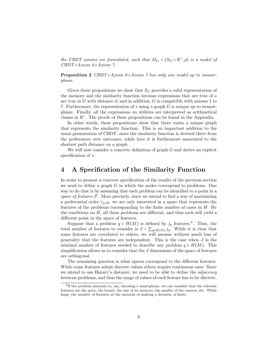the CBDT axioms are formulated, such that  $M_G = \langle S_G \cup \mathbb{R}^+, \rho \rangle$  is a model of  $GDDT + Argom G + Argom G$ CBDT+Axiom 6+Axiom 7.

Proposition 2 CBDT+Axiom 6+Axiom 7 has only one model up to isomorphism.

Given these propositions we show that  $S_G$  provides a valid representation of the memory and the similarity function because expressions that are true of s are true in G with distance  $d$ ; and in addition, G is compatible with axioms 1 to 7. Furthermore, the representation of s using a graph  $G$  is unique up to isomorphism. Finally, all the expressions on utilities are interpreted as arithmetical claims in  $\mathbb{R}^+$ . The proofs of these propositions can be found in the Appendix.

In other words, these propositions show that there exists a unique graph that represents the similarity function. This is an important addition to the usual presentation of CBDT, since the similarity function is derived there from the preferences over outcomes, while here it is furthermore associated to the shortest path distance on a graph.

We will now consider a concrete definition of graph  $G$  and derive an explicit specification of s.

#### 4 A Specification of the Similarity Function

In order to present a concrete specification of the results of the previous section we need to define a graph  $G$  in which the nodes correspond to problems. One way to do that is by assuming that each problem can be identified to a point in a space of features  $F$ . More precisely, since we intend to find a way of maximizing a preferential order  $\geq_{p,H}$ , we are only interested in a space that represents the features of the problems corresponding to the finite number of cases in  $H$ . By the conditions on  $H$ , all these problems are different, and thus each will yield a different point in the space of features.

Suppose that a problem  $q \in H(M)$  is defined by  $j_q$  features.<sup>2</sup>. Thus, the total number of features to consider is  $J = \sum_{q \in H(M)} j_q$ . While it is clear that some features are correlated to others, we will assume without much loss of generality that the features are independent. This is the case when  $J$  is the minimal number of features needed to describe any problem  $q \in H(M)$ . This simplification allows us to consider that the  $J$  dimensions of the space of features are orthogonal.

The remaining question is what spaces correspond to the different features. While some features admit discrete values others require continuous ones. Since we intend to use Harary's distance, we need to be able to define the *adjacency* between problems, and thus the range of values of each feature has to be discrete.

<sup>&</sup>lt;sup>2</sup>If the problem amounts to, say, choosing a smartphone, we can consider that the relevant features are the price, the brand, the size of its memory, the quality of the camera, etc. While large, the number of features at the moment of making a decision, is finite.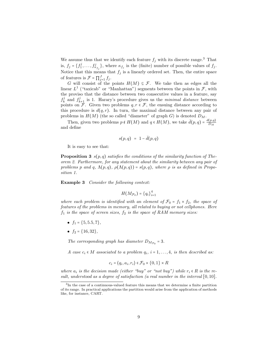We assume thus that we identify each feature  $f_j$  with its discrete range.<sup>3</sup> That is,  $f_j = \{f_1^j, \ldots, f_{\kappa_{f_j}}^j\}$ , where  $\kappa_{f_j}$  is the (finite) number of possible values of  $f_j$ . Notice that this means that  $f_j$  is a linearly ordered set. Then, the entire space of features is  $\mathcal{F} = \prod_{j=1}^{J} f_j$ .

G will consist of the points  $H(M) \subseteq \mathcal{F}$ . We take then as edges all the linear  $L^1$  ("taxicab" or "Manhattan") segments between the points in  $\mathcal{F}$ , with the proviso that the distance between two consecutive values in a feature, say  $f_k^j$  and  $f_{k+1}^j$  is 1. Harary's procedure gives us the *minimal distance* between points on F. Given two problems  $q, r \in \mathcal{F}$ , the ensuing distance according to this procedure is  $d(q, r)$ . In turn, the maximal distance between any pair of problems in  $H(M)$  (the so called "diameter" of graph G) is denoted  $D_M$ .

Then, given two problems  $p \notin H(M)$  and  $q \in H(M)$ , we take  $\bar{d}(p,q) = \frac{d(p,q)}{D_M}$ and define

$$
s(p,q) = 1 - \bar{d}(p,q)
$$

It is easy to see that:

**Proposition 3**  $s(p,q)$  satisfies the conditions of the similarity function of Theorem 2. Furthermore, for any statement about the similarity between any pair of problems p and q,  $\Lambda(p,q)$ ,  $\rho(\Lambda(p,q)) = s(p,q)$ , where  $\rho$  is as defined in Proposition 1.

Example 3 Consider the following context:

$$
H(M_{\mathcal{F}_0})=\{q_i\}_{i=1}^4
$$

where each problem is identified with an element of  $\mathcal{F}_0 = f_1 \times f_2$ , the space of features of the problems in memory, all related to buying or not cellphones. Here  $f_1$  is the space of screen sizes,  $f_2$  is the space of RAM memory sizes:

- $f_1 = \{5, 5.5, 7\},\,$
- $f_2 = \{16, 32\},\,$

The corresponding graph has diameter  $D_{M_{\mathcal{F}_0}} = 3$ .

A case  $c_i \in M$  associated to a problem  $q_i$ ,  $i = 1, \ldots, 4$ , is then described as:

$$
c_i = \langle q_i, a_i, r_i \rangle \in \mathcal{F}_0 \times \{0, 1\} \times R
$$

where  $a_i$  is the decision made (either "buy" or "not buy") while  $r_i \in R$  is the result, understood as a degree of satisfaction (a real number in the interval [0,10].

<sup>&</sup>lt;sup>3</sup>In the case of a continuous-valued feature this means that we determine a finite partition of its range. In practical applications the partition would arise from the application of methods like, for instance, CART.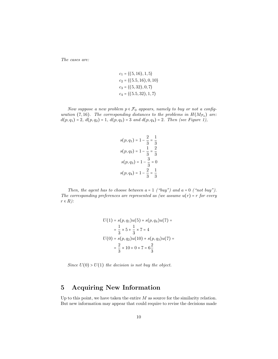The cases are:

$$
c_1 = \langle (5, 16), 1, 5 \rangle
$$
  
\n
$$
c_2 = \langle (5.5, 16), 0, 10 \rangle
$$
  
\n
$$
c_3 = \langle (5, 32), 0, 7 \rangle
$$
  
\n
$$
c_4 = \langle (5.5, 32), 1, 7 \rangle
$$

Now suppose a new problem  $p \in \mathcal{F}_0$  appears, namely to buy or not a configuration (7,16). The corresponding distances to the problems in  $H(M_{\mathcal{F}_0})$  are:  $d(p, q_1) = 2, d(p, q_2) = 1, d(p, q_3) = 3$  and  $d(p, q_4) = 2$ . Then (see Figure 1),

$$
s(p, q_1) = 1 - \frac{2}{3} = \frac{1}{3}
$$

$$
s(p, q_2) = 1 - \frac{1}{3} = \frac{2}{3}
$$

$$
s(p, q_3) = 1 - \frac{3}{3} = 0
$$

$$
s(p, q_4) = 1 - \frac{2}{3} = \frac{1}{3}
$$

Then, the agent has to choose between  $a = 1$  ("buy") and  $a = 0$  ("not buy"). The corresponding preferences are represented as (we assume  $u(r) = r$  for every  $r \in R$ ):

$$
U(1) = s(p, q_1)u(5) + s(p, q_4)u(7) =
$$
  
=  $\frac{1}{3} \times 5 + \frac{1}{3} \times 7 = 4$   

$$
U(0) = s(p, q_2)u(10) + s(p, q_3)u(7) =
$$
  
=  $\frac{2}{3} \times 10 + 0 \times 7 = 6\frac{2}{3}$ 

Since  $U(0) > U(1)$  the decision is not buy the object.

## 5 Acquiring New Information

Up to this point, we have taken the entire  $M$  as source for the similarity relation. But new information may appear that could require to revise the decisions made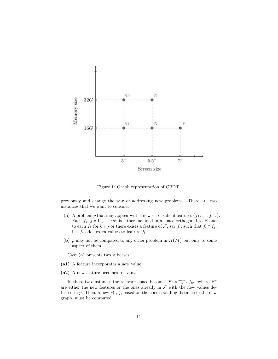

Figure 1: Graph representation of CBDT.

previously and change the way of addressing new problems. There are two instances that we want to consider:

- (a) A problem p that may appear with a new set of salient features  $\{f_{1P}, \ldots, f_{mP}\}.$ Each  $f_j$ ,  $j = 1^p, \ldots, m^p$  is either included in a space orthogonal to  $\mathcal F$  and to each  $f_k$  for  $k \neq j$  or there exists a feature of  $\mathcal F$ , say  $f_l$ , such that  $f_l \subset f_j$ , i.e.  $f_j$  adds extra values to feature  $f_l$ .
- (b) p may not be compared to any other problem in  $H(M)$  but only to some aspect of them.

Case (a) presents two subcases:

- (a1) A feature incorporates a new value.
- (a2) A new feature becomes relevant.

In these two instances the relevant space becomes  $\mathcal{F}^p \times \prod_{k=1}^m f_{k^p}$ , where  $\mathcal{F}^p$ are either the new features or the ones already in  $\mathcal F$  with the new values detected in p. Then, a new  $s(\cdot, \cdot)$ , based on the corresponding distance in the new graph, must be computed.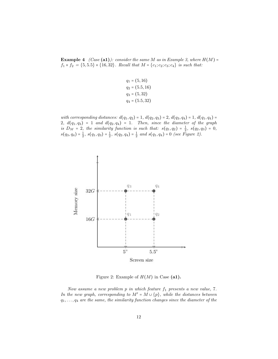**Example 4** (Case (a1)): consider the same M as in Example 3, where  $H(M)$  =  $f_1 \times f_2 = \{5, 5.5\} \times \{16, 32\}$ . Recall that  $M = \{c_1; c_2; c_3; c_4\}$  is such that:

$$
q_1 = (5, 16)
$$
  
\n
$$
q_2 = (5.5, 16)
$$
  
\n
$$
q_3 = (5, 32)
$$
  
\n
$$
q_4 = (5.5, 32)
$$

with corresponding distances:  $d(q_1, q_2) = 1$ ,  $d(q_2, q_3) = 2$ ,  $d(q_3, q_4) = 1$ ,  $d(q_1, q_4) =$ 2,  $d(q_1, q_3) = 1$  and  $d(q_2, q_4) = 1$ . Then, since the diameter of the graph is  $D_M = 2$ , the similarity function is such that:  $s(q_1, q_2) = \frac{1}{2}$ ,  $s(q_2, q_3) = 0$ ,  $s(q_3,q_4) = \frac{1}{2}, s(q_1,q_3) = \frac{1}{2}, s(q_2,q_4) = \frac{1}{2} \text{ and } s(q_1,q_4) = 0 \text{ (see Figure 2)}.$ 



Figure 2: Example of  $H(M)$  in Case (a1).

Now assume a new problem  $p$  in which feature  $f_1$  presents a new value, 7. In the new graph, corresponding to  $M' = M \cup \{p\}$ , while the distances between  $q_1, \ldots, q_4$  are the same, the similarity function changes since the diameter of the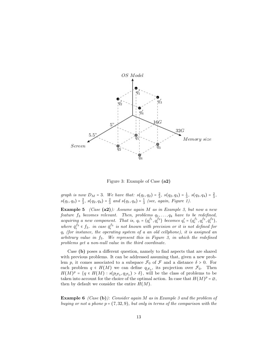

Figure 3: Example of Case (a2)

graph is now  $D_M = 3$ . We have that:  $s(q_1, q_2) = \frac{2}{3}$ ,  $s(q_2, q_3) = \frac{1}{3}$ ,  $s(q_3, q_4) = \frac{2}{3}$ ,  $s(q_1, q_3) = \frac{2}{3}, s(q_2, q_4) = \frac{2}{3} \text{ and } s(q_1, q_4) = \frac{1}{3} \text{ (see, again, Figure 1)}.$ 

**Example 5** (Case  $(a2)$ ): Assume again M as in Example 3, but now a new feature  $f_3$  becomes relevant. Then, problems  $q_1, \ldots, q_4$  have to be redefined, acquiring a new component. That is,  $q_i = \langle q_i^{f_1}, q_i^{f_2} \rangle$  becomes  $q'_i = \langle q_i^{f_1}, q_i^{f_2}, \bar{q}_i^{f_3} \rangle$ , where  $\bar{q}_i^{fs} \in f_3$ , in case  $\bar{q}_i^{fs}$  is not known with precision or it is not defined for  $q_i$  (for instance, the operating system of a an old cellphone), it is assigned an arbitrary value in  $f_3$ . We represent this in Figure 3, in which the redefined problems get a non-null value in the third coordinate.

Case (b) poses a different question, namely to find aspects that are shared with previous problems. It can be addressed assuming that, given a new problem p, it comes associated to a subspace  $\mathcal{F}_0$  of  $\mathcal F$  and a distance  $\delta > 0$ . For each problem  $q \in H(M)$  we can define  $q_{|\mathcal{F}_0}$ , its projection over  $\mathcal{F}_0$ . Then  $H(M)^p = \{q \in H(M) : s(p_{\mid \mathcal{F}_0}, q_{\mid \mathcal{F}_0}) > \delta\}$ , will be the class of problems to be taken into account for the choice of the optimal action. In case that  $H(M)^p = \emptyset$ , then by default we consider the entire  $H(M)$ .

Example 6 (Case (b)): Consider again M as in Example 3 and the problem of buying or not a phone  $p = (7, 32, 9)$ , but only in terms of the comparison with the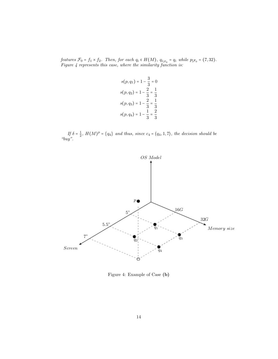features  $\mathcal{F}_0 = f_1 \times f_2$ . Then, for each  $q_i \in H(M)$ ,  $q_{i_{|\mathcal{F}_0}} = q_i$  while  $p_{|\mathcal{F}_0} = (7, 32)$ .<br>Figure 4 represents this case, where the similarity function is:

$$
s(p, q_1) = 1 - \frac{3}{3} = 0
$$
  
\n
$$
s(p, q_2) = 1 - \frac{2}{3} = \frac{1}{3}
$$
  
\n
$$
s(p, q_3) = 1 - \frac{2}{3} = \frac{1}{3}
$$
  
\n
$$
s(p, q_4) = 1 - \frac{1}{3} = \frac{2}{3}
$$

If  $\delta = \frac{1}{2}$ ,  $H(M)^p = \{q_4\}$  and thus, since  $c_4 = \langle q_4, 1, 7 \rangle$ , the decision should be "buy".



Figure 4: Example of Case (b)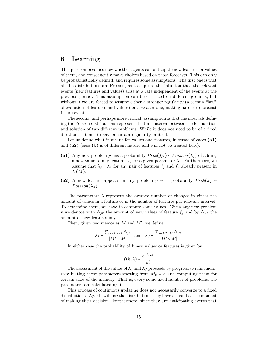## 6 Learning

The question becomes now whether agents can anticipate new features or values of them, and consequently make choices based on those forecasts. This can only be probabilistically defined, and requires some assumptions. The first one is that all the distributions are Poisson, as to capture the intuition that the relevant events (new features and values) arise at a rate independent of the events at the previous period. This assumption can be criticized on different grounds, but without it we are forced to assume either a stronger regularity (a certain "law" of evolution of features and values) or a weaker one, making harder to forecast future events.

The second, and perhaps more critical, assumption is that the intervals defining the Poisson distributions represent the time interval between the formulation and solution of two different problems. While it does not need to be of a fixed duration, it tends to have a certain regularity in itself.

Let us define what it means for values and features, in terms of cases (a1) and  $(a2)$  (case (b) is of different nature and will not be treated here):

- (a1) Any new problem p has a probability  $Prob(f_{j}P) \sim Poisson(\lambda_j)$  of adding a new value to any feature  $f_j$ , for a given parameter  $\lambda_j$ . Furthermore, we assume that  $\lambda_j = \lambda_k$  for any pair of features  $f_j$  and  $f_k$  already present in  $H(M).$
- (a2) A new feature appears in any problem p with probability  $Prob(J) \sim$  $Poisson(\lambda_J)$ .

The parameters  $\lambda$  represent the average number of changes in either the amount of values in a feature or in the number of features per relevant interval. To determine them, we have to compute some values. Given any new problem p we denote with  $\Delta_{j^p}$  the amount of new values of feature  $f_j$  and by  $\Delta_{J^p}$  the amount of new features in p.

Then, given two memories  $M$  and  $M'$ , we define

$$
\lambda_j = \frac{\sum_{p \in M' \setminus M} \Delta_{j^p}}{|M' \setminus M|} \quad \text{and} \quad \lambda_J = \frac{\sum_{p \in M' \setminus M} \Delta_{J^p}}{|M' \setminus M|}
$$

In either case the probability of  $k$  new values or features is given by

$$
f(k,\lambda) = \frac{e^{-\lambda}\lambda^k}{k!}
$$

The assessment of the values of  $\lambda_j$  and  $\lambda_j$  proceeds by progressive refinement, reevaluating those parameters starting from  $M_0 = \emptyset$  and computing them for certain sizes of the memory. That is, every some fixed number of problems, the parameters are calculated again.

This process of continuous updating does not necessarily converge to a fixed distributions. Agents will use the distributions they have at hand at the moment of making their decision. Furthermore, since they are anticipating events that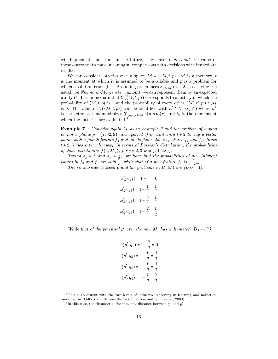will happen at some time in the future, they have to *discount* the value of those outcomes to make meaningful comparisons with decisions with immediate results.

We can consider lotteries over a space  $\mathcal{M} = \{ \langle M, t, p \rangle : M \text{ is a memory, } t \}$ is the moment at which it is assumed to be available and  $p$  is a problem for which a solution is sought. Assuming preferences  $\geq_{vNM}$  over M, satisfying the usual von Neumann-Morgenstern axioms, we can represent them by an expected utility  $\bar{U}$ . It is immediate that  $\bar{U}(\langle M, t, p \rangle)$  corresponds to a lottery in which the probability of  $\langle M, t, p \rangle$  is 1 and the probability of every other  $\langle M', t', p' \rangle$ probability of  $\overline{U}(\langle M,t,p \rangle)$  is 1 and the probability of every other  $\langle M, t, p \rangle \in \mathcal{M}$ <br>is 0. The value of  $\overline{U}(\langle M,t,p \rangle)$  can be identified with  $\kappa^{t-t_0}U_{p,M}(a^*)$  where  $a^*$ is the action a that maximizes  $\sum_{(q,a,r)\in M} s(p,q)u(r)$  and  $t_0$  is the moment at which the lotteries are evaluated.<sup>4</sup>

Example 7 : Consider again M as in Example 3 and the problem of buying or not a phone  $p = (7, 32, 9)$  now (period t) or wait until  $t + 2$  to buy a better phone with a fourth feature  $f_4$  and one higher value in features  $f_2$  and  $f_3$ . Since  $t + 2$  is two intervals away, in terms of Poisson's distribution, the probabilities of those events are:  $f(1, 2\lambda_j)$ , for  $j = 2, 3$  and  $f(1, 2\lambda_j)$ .

Taking  $\lambda_j = \frac{1}{2}$  and  $\lambda_j = \frac{1}{20}$ , we have that the probabilities of new (higher) values in  $f_2$  and  $f_3$  are both  $\frac{1}{e}$ , while that of a new feature  $f_4$  is  $\frac{1}{10 e^{10}}$ .

The similarities between p and the problems in  $H(M)$  are  $(D_M = 4)$ :

$$
s(p, q_1) = 1 - \frac{4}{4} = 0
$$
  
\n
$$
s(p, q_2) = 1 - \frac{1}{4} = \frac{1}{4}
$$
  
\n
$$
s(p, q_3) = 1 - \frac{3}{4} = \frac{1}{4}
$$
  
\n
$$
s(p, q_4) = 1 - \frac{2}{4} = \frac{1}{2}
$$

While that of the potential  $p'$  are (the new M' has a diameter<sup>5</sup>  $D_{M'} = 7$ ):

$$
s(p', q_1) = 1 - \frac{7}{7} = 0
$$
  
\n
$$
s(p', q_2) = 1 - \frac{6}{7} = \frac{1}{7}
$$
  
\n
$$
s(p', q_3) = 1 - \frac{6}{7} = \frac{1}{7}
$$
  
\n
$$
s(p', q_4) = 1 - \frac{5}{7} = \frac{2}{7}
$$

<sup>4</sup>This is consistent with the two levels of inductive reasoning in learning and induction presented in (Gilboa and Schmeidler, 2001; Gilboa and Schmeidler, 2003).

<sup>&</sup>lt;sup>5</sup>In this case, the diameter is the maximal distance between  $q_1$  and  $p'$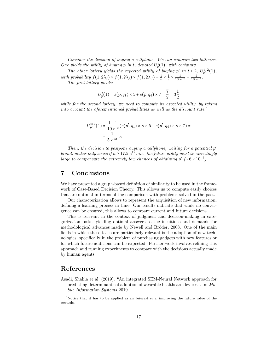Consider the decision of buying a cellphone. We can compare two lotteries. One yields the utility of buying p in t, denoted  $U_p^t(1)$ , with certainty.

The other lottery yields the expected utility of buying  $p'$  in  $t + 2$ ,  $U_{p'}^{t+2}(1)$ , with probability  $f(1, 2\lambda_j) \times f(1, 2\lambda_j) \times f(1, 2\lambda_J) = \frac{1}{e} \times \frac{1}{e} \times \frac{1}{10} e^{10} = \frac{1}{10} e^{12}$ .

The first lottery yields:

$$
U_p^t(1) = s(p,q_1) \times 5 + s(p,q_4) \times 7 = \frac{7}{2} = 3\frac{1}{2}
$$

while for the second lottery, we need to compute its expected utility, by taking into account the aforementioned probabilities as well as the discount rate: $6$ 

$$
U_{p'}^{t+2}(1) = \frac{1}{10} \frac{1}{e^{12}} (s(p', q_1) \times \kappa \times 5 + s(p', q_4) \times \kappa \times 7) =
$$
  
= 
$$
\frac{1}{5 e^{12}} \kappa
$$

Then, the decision to postpone buying a cellphone, waiting for a potential  $p'$ brand, makes only sense if  $\kappa \geq 17.5$  e<sup>12</sup>, i.e. the future utility must be exceedingly large to compensate the extremely low chances of obtaining  $p' \sim 6 \times 10^{-7}$ .

## 7 Conclusions

We have presented a graph-based definition of similarity to be used in the framework of Case-Based Decision Theory. This allows us to compute easily choices that are optimal in terms of the comparison with problems solved in the past.

Our characterization allows to represent the acquisition of new information, defining a learning process in time. Our results indicate that while no convergence can be ensured, this allows to compare current and future decisions.

This is relevant in the context of judgment and decision-making in categorization tasks, yielding optimal answers to the intuitions and demands for methodological advances made by Newell and Bröder, 2008. One of the main fields in which these tasks are particularly relevant is the adoption of new technologies, specifically in the problem of purchasing gadgets with new features or for which future additions can be expected. Further work involves refining this approach and running experiments to compare with the decisions actually made by human agents.

#### References

Asadi, Shahla et al. (2019). "An integrated SEM-Neural Network approach for predicting determinants of adoption of wearable healthcare devices". In: Mobile Information Systems 2019.

 $6$ Notice that it has to be applied as an *interest rate*, improving the future value of the rewards.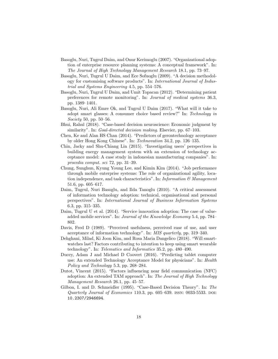- Basoglu, Nuri, Tugrul Daim, and Onur Kerimoglu (2007). "Organizational adoption of enterprise resource planning systems: A conceptual framework". In: The Journal of High Technology Management Research 18.1, pp. 73–97.
- Basoglu, Nuri, Tugrul U Daim, and Ece Sofuoglu (2009). "A decision methodology for customising software products". In: International Journal of Industrial and Systems Engineering 4.5, pp. 554–576.
- Basoglu, Nuri, Tugrul U Daim, and Umit Topacan (2012). "Determining patient preferences for remote monitoring". In: Journal of medical systems 36.3, pp. 1389–1401.
- Basoglu, Nuri, Ali Emre Ok, and Tugrul U Daim (2017). "What will it take to adopt smart glasses: A consumer choice based review?" In: Technology in Society 50, pp. 50–56.
- Bhui, Rahul (2018). "Case-based decision neuroscience: Economic judgment by similarity". In: *Goal-directed decision making*. Elsevier, pp. 67–103.
- Chen, Ke and Alan HS Chan (2014). "Predictors of gerontechnology acceptance by older Hong Kong Chinese". In: Technovation 34.2, pp. 126–135.
- Chin, Jacky and Shu-Chiang Lin (2015). "Investigating users' perspectives in building energy management system with an extension of technology acceptance model: A case study in indonesian manufacturing companies". In: procedia comput. sci 72, pp. 31–39.
- Chung, Sunghun, Kyung Young Lee, and Kimin Kim (2014). "Job performance through mobile enterprise systems: The role of organizational agility, location independence, and task characteristics". In: Information  $\mathcal{B}$  Management 51.6, pp. 605–617.
- Daim, Tugrul, Nuri Basoglu, and Ilda Tanoglu (2010). "A critical assessment of information technology adoption: technical, organisational and personal perspectives". In: International Journal of Business Information Systems 6.3, pp. 315–335.
- Daim, Tugrul U et al. (2014). "Service innovation adoption: The case of valueadded mobile services". In: Journal of the Knowledge Economy 5.4, pp. 784– 802.
- Davis, Fred D (1989). "Perceived usefulness, perceived ease of use, and user acceptance of information technology". In: MIS quarterly, pp. 319–340.
- Dehghani, Milad, Ki Joon Kim, and Rosa Maria Dangelico (2018). "Will smartwatches last? Factors contributing to intention to keep using smart wearable technology". In: Telematics and Informatics 35.2, pp. 480–490.
- Ducey, Adam J and Michael D Coovert (2016). "Predicting tablet computer use: An extended Technology Acceptance Model for physicians". In: Health Policy and Technology 5.3, pp. 268–284.
- Dutot, Vincent (2015). "Factors influencing near field communication (NFC) adoption: An extended TAM approach". In: The Journal of High Technology Management Research 26.1, pp. 45–57.
- Gilboa, I. and D. Schmeidler (1995). "Case-Based Decision Theory". In: The Quarterly Journal of Economics 110.3, pp.  $605-639$ . ISSN: 0033-5533. DOI: 10.2307/2946694.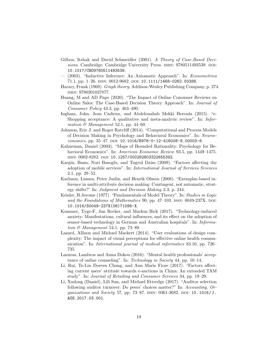- Gilboa, Itzhak and David Schmeidler (2001). A Theory of Case-Based Decisions. Cambridge: Cambridge University Press. ISBN: 9780511493539. DOI: 10.1017/CBO9780511493539.
- (2003). "Inductive Inference: An Axiomatic Approach". In: Econometrica 71.1, pp. 1-26. ISSN: 0012-9682. DOI: 10.1111/1468-0262.00388.
- Harary, Frank (1969). Graph theory. Addison-Wesley Publishing Company, p. 274. isbn: 9780201027877.
- Huang, M and AD Pape (2020). "The Impact of Online Consumer Reviews on Online Sales: The Case-Based Decision Theory Approach". In: Journal of Consumer Policy 43.3, pp. 463–490.
- Ingham, John, Jean Cadieux, and Abdelouahab Mekki Berrada (2015). "e-Shopping acceptance: A qualitative and meta-analytic review". In: Information  $\mathcal{B}$  Management 52.1, pp. 44–60.
- Johnson, Eric J. and Roger Ratcliff (2014). "Computational and Process Models of Decision Making in Psychology and Behavioral Economics". In: Neuroeconomics, pp.  $35-47$ . DOI:  $10.1016/B978-0-12-416008-8.00003-6$ .
- Kahneman, Daniel (2003). "Maps of Bounded Rationality: Psychology for Behavioral Economics". In: American Economic Review 93.5, pp. 1449–1475. issn: 0002-8282. doi: 10.1257/000282803322655392.
- Kargin, Banu, Nuri Basoglu, and Tugrul Daim (2009). "Factors affecting the adoption of mobile services". In: International Journal of Services Sciences 2.1, pp. 29–52.
- Karlsson, Linnea, Peter Juslin, and Henrik Olsson (2008). "Exemplar-based inference in multi-attribute decision making: Contingent, not automatic, strategy shifts?" In: Judgment and Decision Making 3.3, p. 244.
- Keisler, H.Jerome (1977). "Fundamentals of Model Theory". In: Studies in Logic and the Foundations of Mathematics  $90$ , pp.  $47-103$ . ISSN:  $0049-237X$ . DOI: 10.1016/S0049-237X(08)71098-X.
- Kummer, Tyge-F, Jan Recker, and Markus Bick (2017). "Technology-induced anxiety: Manifestations, cultural influences, and its effect on the adoption of sensor-based technology in German and Australian hospitals". In: Information & Management 54.1, pp. 73–89.
- Lazard, Allison and Michael Mackert (2014). "User evaluations of design complexity: The impact of visual perceptions for effective online health communication". In: International journal of medical informatics 83.10, pp. 726– 735.
- Lazuras, Lambros and Anna Dokou (2016). "Mental health professionals' acceptance of online counseling". In: Technology in Society 44, pp. 10–14.
- Li, Rui, Te-Lin Doreen Chung, and Ann Marie Fiore (2017). "Factors affecting current users' attitude towards e-auctions in China: An extended TAM study". In: Journal of Retailing and Consumer Services 34, pp. 19–29.
- Li, Xudong (Daniel), Lili Sun, and Michael Ettredge (2017). "Auditor selection following auditor turnover: Do peers' choices matter?" In: Accounting, Organizations and Society 57, pp. 73–87. issn: 0361-3682. doi: 10.1016/J. AOS.2017.03.001.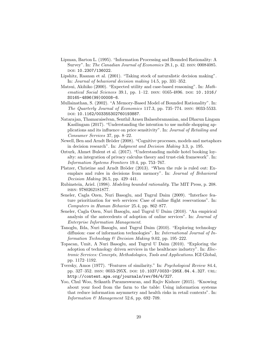- Lipman, Barton L. (1995). "Information Processing and Bounded Rationality: A Survey". In: The Canadian Journal of Economics 28.1, p. 42. ISSN: 00084085. doi: 10.2307/136022.
- Lipshitz, Raanan et al. (2001). "Taking stock of naturalistic decision making". In: Journal of behavioral decision making 14.5, pp. 331–352.
- Matsui, Akihiko (2000). "Expected utility and case-based reasoning". In: Mathematical Social Sciences 39.1, pp. 1-12. ISSN: 0165-4896. DOI: 10.1016/ S0165-4896(99)00008-6.
- Mullainathan, S. (2002). "A Memory-Based Model of Bounded Rationality". In: The Quarterly Journal of Economics 117.3, pp. 735–774. issn: 0033-5533. doi: 10.1162/003355302760193887.
- Natarajan, Thamaraiselvan, Senthil Arasu Balasubramanian, and Dharun Lingam Kasilingam (2017). "Understanding the intention to use mobile shopping applications and its influence on price sensitivity". In: Journal of Retailing and Consumer Services 37, pp. 8–22.
- Newell, Ben and Arndt Bröder (2008). "Cognitive processes, models and metaphors in decision research". In: Judgment and Decision Making 3.3, p. 195.
- Ozturk, Ahmet Bulent et al. (2017). "Understanding mobile hotel booking loyalty: an integration of privacy calculus theory and trust-risk framework". In: Information Systems Frontiers 19.4, pp. 753–767.
- Platzer, Christine and Arndt Bröder (2013). "When the rule is ruled out: Exemplars and rules in decisions from memory". In: *Journal of Behavioral* Decision Making 26.5, pp. 429–441.
- Rubinstein, Ariel. (1998). Modeling bounded rationality. The MIT Press, p. 208. isbn: 9780262181877.
- Seneler, Cagla Ozen, Nuri Basoglu, and Tugrul Daim (2009). "Interface feature prioritization for web services: Case of online flight reservations". In: Computers in Human Behavior 25.4, pp. 862–877.
- Seneler, Cagla Ozen, Nuri Basoglu, and Tugrul U Daim (2010). "An empirical analysis of the antecedents of adoption of online services". In: Journal of Enterprise Information Management.
- Tanoglu, Ilda, Nuri Basoglu, and Tugrul Daim (2010). "Exploring technology diffusion: case of information technologies". In: International Journal of Information Technology & Decision Making 9.02, pp. 195–222.
- Topacan, Umit, A Nuri Basoglu, and Tugrul U Daim (2010). "Exploring the adoption of technology driven services in the healthcare industry". In: Electronic Services: Concepts, Methodologies, Tools and Applications. IGI Global, pp. 1172–1192.
- Tversky, Amos (1977). "Features of similarity." In: Psychological Review 84.4, pp. 327-352. ISSN: 0033-295X. DOI: 10.1037/0033-295X.84.4.327. URL: http://content.apa.org/journals/rev/84/4/327.
- Yoo, Chul Woo, Srikanth Parameswaran, and Rajiv Kishore (2015). "Knowing about your food from the farm to the table: Using information systems that reduce information asymmetry and health risks in retail contexts". In: Information  $\mathcal{B}$  Management 52.6, pp. 692–709.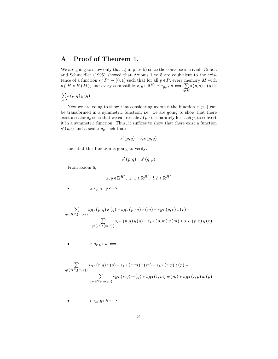#### A Proof of Theorem 1.

We are going to show only that a) implies b) since the converse is trivial. Gilboa and Schmeidler (1995) showed that Axioms 1 to 5 are equivalent to the existence of a function  $s: P^2 \to [0,1]$  such that for all  $p \in P$ , every memory M with  $p \notin H = H(M)$ , and every compatible  $x, y \in \mathbb{R}^H$ ,  $x \geq_{p,H} y \iff \sum_{q \in H} s(p,q) x(q) \geq$ 

$$
\sum_{q\in H}s\left(p,q\right)y\left(q\right).
$$

Now we are going to show that considering axiom 6 the function  $s(p, \cdot)$  can be transformed in a symmetric function, i.e. we are going to show that there exist a scalar  $\delta_p$  such that we can rescale  $s(p, \cdot)$ , separately for each p, to convert it in a symmetric function. Thus, it suffices to show that there exist a function  $s'\left(p,\cdot\right)$  and a scalar  $\delta_p$  such that:

$$
s'(p,q)=\delta_ps(p,q)
$$

and that this function is going to verify:

$$
s'(p,q) = s'(q,p)
$$

From axiom 6,

 $\overline{a}$ 

 $\bullet$ 

 $\bullet$ 

$$
x,y\in \mathbb{R}^{H^1},\ z,w\in \mathbb{R}^{H^2},\ l,h\in \mathbb{R}^{H^3}
$$
  $x\approx_{p,H^1} y \Longleftrightarrow$ 

$$
\sum_{q \in \{H^1 \setminus \{m,r\}\}} s_{H^1}(p,q) x(q) + s_{H^1}(p,m) x(m) + s_{H^1}(p,r) x(r) =
$$
  

$$
\sum_{q \in \{H^1 \setminus \{m,r\}\}} s_{H^1}(p,q) y(q) + s_{H^1}(p,m) y(m) + s_{H^1}(p,r) y(r)
$$

 $z \approx_{r,H^2} w \Longleftrightarrow$ 

$$
\sum_{q \in \{H^2 \setminus \{m, p\}\}} s_{H^2}(r, q) z(q) + s_{H^2}(r, m) z(m) + s_{H^2}(r, p) z(p) =
$$
  

$$
\sum_{q \in \{H^2 \setminus \{m, p\}\}} s_{H^2}(r, q) w(q) + s_{H^2}(r, m) w(m) + s_{H^2}(r, p) w(p)
$$

$$
l\approx_{m,H^3} h\Longleftrightarrow
$$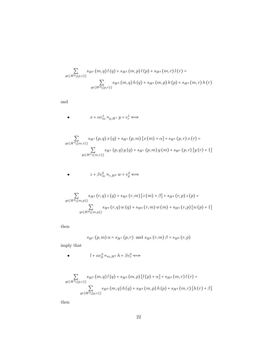$$
\sum_{q \in \{H^3 \setminus \{p,r\}\}} s_{H^3}(m,q) l(q) + s_{H^3}(m,p) l(p) + s_{H^3}(m,r) l(r) =
$$
  

$$
\sum_{q \in \{H^3 \setminus \{p,r\}\}} s_{H^3}(m,q) h(q) + s_{H^3}(m,p) h(p) + s_{H^3}(m,r) h(r)
$$

and

 $\bullet$ 

 $\bullet$ 

$$
x+\alpha v^1_m\approx_{p,H^1} y+v^1_r\Longleftrightarrow
$$

$$
\sum_{q \in \{H^1 \setminus \{m,r\}\}} s_{H^1}(p,q) x(q) + s_{H^1}(p,m) [x (m) + \alpha] + s_{H^1}(p,r) x (r) =
$$
  

$$
\sum_{q \in \{H^1 \setminus \{m,r\}\}} s_{H^1}(p,q) y(q) + s_{H^1}(p,m) y (m) + s_{H^1}(p,r) [y (r) + 1]
$$

$$
z+\beta v_m^2\approx_{r,H^2} w+v_p^2\Longleftrightarrow
$$

$$
\sum_{q \in \{H^2 \setminus \{m,p\}\}} s_{H^2}(r,q) z(q) + s_{H^2}(r,m) [z(m) + \beta] + s_{H^2}(r,p) z(p) =
$$
  

$$
\sum_{q \in \{H^2 \setminus \{m,p\}\}} s_{H^2}(r,q) w(q) + s_{H^2}(r,m) w(m) + s_{H^2}(r,p) [w(p) + 1]
$$

then

$$
s_{H^{1}}(p,m) \alpha = s_{H^{1}}(p,r)
$$
 and  $s_{H^{2}}(r,m) \beta = s_{H^{2}}(r,p)$ 

imply that

 $\bullet$ 

$$
l+\alpha v_p^3\approx_{m,H^3} h+\beta v_r^3 \Longleftrightarrow
$$

$$
\sum_{q \in \{H^3 \setminus \{p,r\}\}} s_{H^3}(m,q) l(q) + s_{H^3}(m,p) [l(p) + \alpha] + s_{H^3}(m,r) l(r) =
$$
  

$$
\sum_{q \in \{H^3 \setminus \{p,r\}\}} s_{H^3}(m,q) h(q) + s_{H^3}(m,p) h(p) + s_{H^3}(m,r) [h(r) + \beta]
$$

then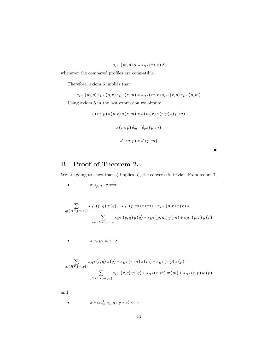$$
s_{H^3}(m,p)\,\alpha = s_{H^3}(m,r)\,\beta
$$

whenever the compared profiles are compatible.

Therefore, axiom 6 implies that

 $s_{H^3}\left(m,p\right)s_{H^1}\left(p,r\right)s_{H^2}\left(r,m\right)=s_{H^3}\left(m,r\right)s_{H^2}\left(r,p\right)s_{H^1}\left(p,m\right)$ 

Using axiom 5 in the last expression we obtain:

$$
s(m, p) s(p, r) s(r, m) = s(m, r) s(r, p) s(p, m)
$$

$$
s(m, p) \delta_m = \delta_p s(p, m)
$$

$$
s'(m, p) = s'(p, m)
$$

∎

## B Proof of Theorem 2.

We are going to show that a) implies b), the converse is trivial. From axiom 7,

$$
\bullet \hspace{1cm} x \approx_{p,H^1} y \Longleftrightarrow
$$

$$
\sum_{q \in \{H^1 \setminus \{m,r\}\}} s_{H^1}(p,q) x(q) + s_{H^1}(p,m) x(m) + s_{H^1}(p,r) x(r) =
$$
  

$$
\sum_{q \in \{H^1 \setminus \{m,r\}\}} s_{H^1}(p,q) y(q) + s_{H^1}(p,m) y(m) + s_{H^1}(p,r) y(r)
$$

 $z \approx_{r,H^2} w \Longleftrightarrow$ 

$$
\sum_{q \in \{H^2 \setminus \{m, p\}\}} s_{H^2} (r, q) z(q) + s_{H^2} (r, m) z(m) + s_{H^2} (r, p) z(p) =
$$
  

$$
\sum_{q \in \{H^2 \setminus \{m, p\}\}} s_{H^2} (r, q) w(q) + s_{H^2} (r, m) w(m) + s_{H^2} (r, p) w(p)
$$

and

 $\bullet$ 

 $\bullet$ 

$$
x+\alpha v^1_m\approx_{p,H^1} y+v^1_r\Longleftrightarrow
$$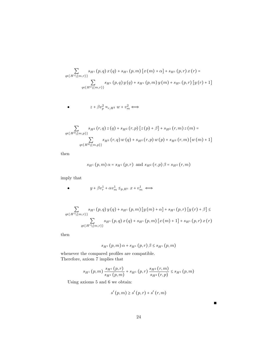$$
\sum_{q \in \{H^1 \setminus \{m,r\}\}} s_{H^1}(p,q) x(q) + s_{H^1}(p,m) [x (m) + \alpha] + s_{H^1}(p,r) x (r) =
$$
  

$$
\sum_{q \in \{H^1 \setminus \{m,r\}\}} s_{H^1}(p,q) y(q) + s_{H^1}(p,m) y (m) + s_{H^1}(p,r) [y (r) + 1]
$$

$$
z+\beta v_p^2\approx_{r,H^2} w+v_m^2\Longleftrightarrow
$$

$$
\sum_{q \in \{H^2 \setminus \{m,p\}\}} s_{H^2}(r,q) z(q) + s_{H^2}(r,p) [z(p) + \beta] + s_{H^2}(r,m) z(m) = \sum_{q \in \{H^2 \setminus \{m,p\}\}} s_{H^2}(r,q) w(q) + s_{H^2}(r,p) w(p) + s_{H^2}(r,m) [w(m) + 1]
$$

then

 $\bullet$ 

$$
s_{H^1}(p,m) \alpha = s_{H^1}(p,r)
$$
 and  $s_{H^2}(r,p) \beta = s_{H^2}(r,m)$ 

imply that

 $\bullet$ 

$$
y+\beta v_r^1+\alpha v_m^1\leq_{p,H^1} x+v_m^1\iff
$$

$$
\sum_{q \in \{H^1 \setminus \{m,r\}\}} s_{H^1}(p,q) y(q) + s_{H^1}(p,m) [y(m) + \alpha] + s_{H^1}(p,r) [y(r) + \beta] \le
$$
  

$$
\sum_{q \in \{H^1 \setminus \{m,r\}\}} s_{H^1}(p,q) x(q) + s_{H^1}(p,m) [x(m) + 1] + s_{H^1}(p,r) x(r)
$$

then

$$
s_{H^{1}}(p, m) \alpha + s_{H^{1}}(p, r) \beta \leq s_{H^{1}}(p, m)
$$

whenever the compared profiles are compatible. Therefore, axiom 7 implies that

$$
s_{H^{1}}(p,m) \frac{s_{H^{1}}(p,r)}{s_{H^{1}}(p,m)} + s_{H^{1}}(p,r) \frac{s_{H^{2}}(r,m)}{s_{H^{2}}(r,p)} \leq s_{H^{1}}(p,m)
$$

Using axioms 5 and 6 we obtain:

$$
s'\left(p,m\right) \geq s'\left(p,r\right) + s'\left(r,m\right)
$$

∎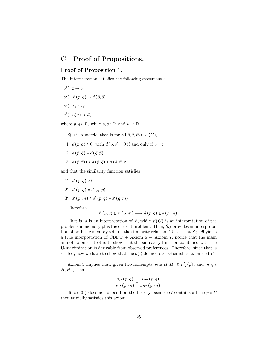## C Proof of Propositions.

#### Proof of Proposition 1.

The interpretation satisfies the following statements:

$$
\rho^{1} \quad p \to \bar{p}
$$
  
\n
$$
\rho^{2} \quad s' (p, q) \to d (\bar{p}, \bar{q})
$$
  
\n
$$
\rho^{3} \quad \geq_{s} \to \leq_{d}
$$
  
\n
$$
\rho^{4} \quad u(a) \to \bar{u_{a}}.
$$

where  $p, q \in P$ , while  $\bar{p}, \bar{q} \in V$  and  $\bar{u}_a \in \mathbb{R}$ .

\n- $$
d(\cdot)
$$
 is a metric; that is for all  $\bar{p}, \bar{q}, \bar{m} \in V(G)$ ,
\n- 1.  $d(\bar{p}, \bar{q}) \geq 0$ , with  $d(\bar{p}, \bar{q}) = 0$  if and only if  $p = q$ .
\n- 2.  $d(\bar{p}, \bar{q}) = d(\bar{q}, \bar{p})$
\n- 3.  $d(\bar{p}, \bar{m}) \leq d(\bar{p}, \bar{q}) + d(\bar{q}, \bar{m})$ ;
\n

and that the similarity function satisfies

1'. 
$$
s'(p,q) \ge 0
$$
  
\n2'.  $s'(p,q) = s'(q,p)$   
\n3'.  $s'(p,m) \ge s'(p,q) + s'(q,m)$ 

Therefore,

$$
s'(p,q) \geq s'(p,m) \Longrightarrow d(\bar{p},\bar{q}) \leq d(\bar{p},\bar{m}).
$$

That is, d is an interpretation of  $s'$ , while  $V(G)$  is an interpretation of the problems in memory plus the current problem. Then,  $S_G$  provides an interpretation of both the memory set and the similarity relation. To see that  $S_G\cup \mathfrak{R}$  yields a true interpretation of CBDT + Axiom  $6 +$  Axiom 7, notice that the main aim of axioms 1 to 4 is to show that the similarity function combined with the U-maximization is derivable from observed preferences. Therefore, since that is settled, now we have to show that the  $d(\cdot)$  defined over G satisfies axioms 5 to 7.

Axiom 5 implies that, given two nonempty sets  $H, H^0 \subseteq P \setminus \{p\}$ , and  $m, q \in$  $H, H^0$ , then

$$
\frac{s_H(p,q)}{s_H(p,m)}=\frac{s_{H^0}(p,q)}{s_{H^0}(p,m)}.
$$

Since  $d(\cdot)$  does not depend on the history because G contains all the  $p \in P$ then trivially satisfies this axiom.